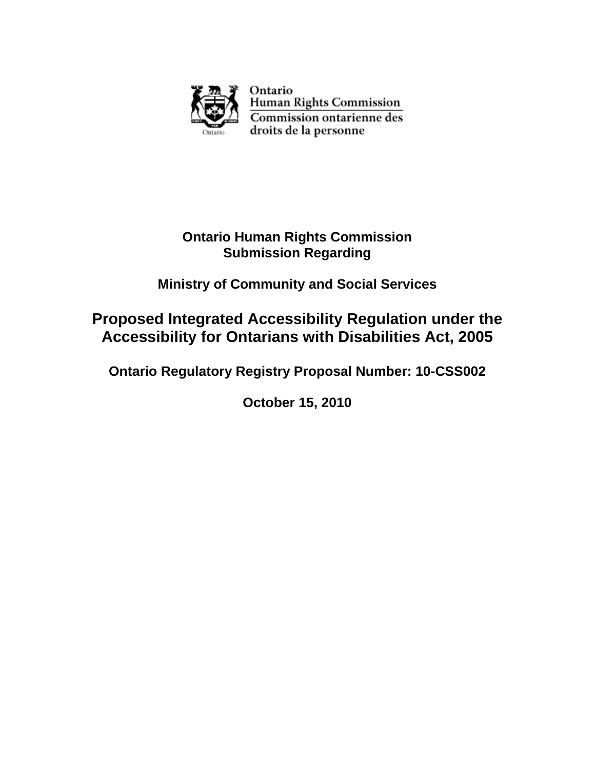

Ontario Human Rights Commission Commission ontarienne des droits de la personne

## **Ontario Human Rights Commission Submission Regarding**

# **Ministry of Community and Social Services**

# **Proposed Integrated Accessibility Regulation under the Accessibility for Ontarians with Disabilities Act, 2005**

## **Ontario Regulatory Registry Proposal Number: 10-CSS002**

**October 15, 2010**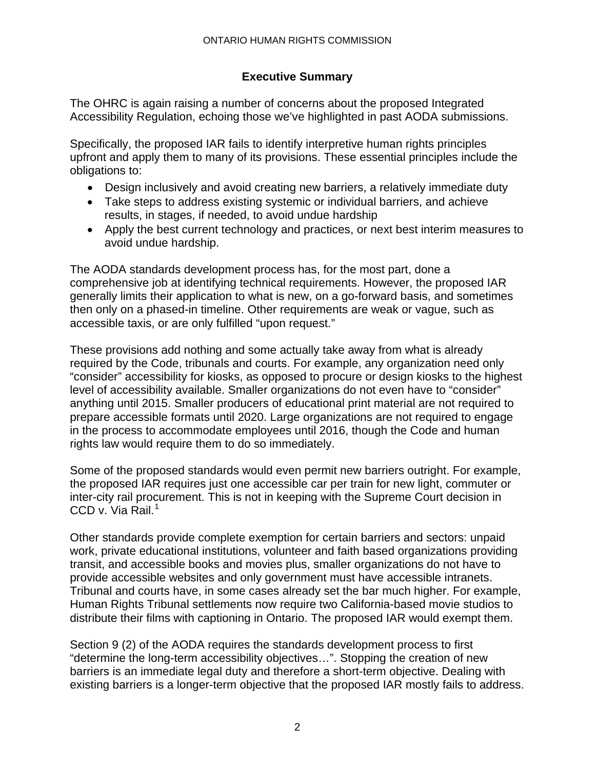## **Executive Summary**

The OHRC is again raising a number of concerns about the proposed Integrated Accessibility Regulation, echoing those we've highlighted in past AODA submissions.

Specifically, the proposed IAR fails to identify interpretive human rights principles upfront and apply them to many of its provisions. These essential principles include the obligations to:

- Design inclusively and avoid creating new barriers, a relatively immediate duty
- Take steps to address existing systemic or individual barriers, and achieve results, in stages, if needed, to avoid undue hardship
- Apply the best current technology and practices, or next best interim measures to avoid undue hardship.

The AODA standards development process has, for the most part, done a comprehensive job at identifying technical requirements. However, the proposed IAR generally limits their application to what is new, on a go-forward basis, and sometimes then only on a phased-in timeline. Other requirements are weak or vague, such as accessible taxis, or are only fulfilled "upon request."

These provisions add nothing and some actually take away from what is already required by the Code, tribunals and courts. For example, any organization need only "consider" accessibility for kiosks, as opposed to procure or design kiosks to the highest level of accessibility available. Smaller organizations do not even have to "consider" anything until 2015. Smaller producers of educational print material are not required to prepare accessible formats until 2020. Large organizations are not required to engage in the process to accommodate employees until 2016, though the Code and human rights law would require them to do so immediately.

Some of the proposed standards would even permit new barriers outright. For example, the proposed IAR requires just one accessible car per train for new light, commuter or inter-city rail procurement. This is not in keeping with the Supreme Court decision in CCD v. Via Rail. $<sup>1</sup>$  $<sup>1</sup>$  $<sup>1</sup>$ </sup>

Other standards provide complete exemption for certain barriers and sectors: unpaid work, private educational institutions, volunteer and faith based organizations providing transit, and accessible books and movies plus, smaller organizations do not have to provide accessible websites and only government must have accessible intranets. Tribunal and courts have, in some cases already set the bar much higher. For example, Human Rights Tribunal settlements now require two California-based movie studios to distribute their films with captioning in Ontario. The proposed IAR would exempt them.

Section 9 (2) of the AODA requires the standards development process to first "determine the long-term accessibility objectives…". Stopping the creation of new barriers is an immediate legal duty and therefore a short-term objective. Dealing with existing barriers is a longer-term objective that the proposed IAR mostly fails to address.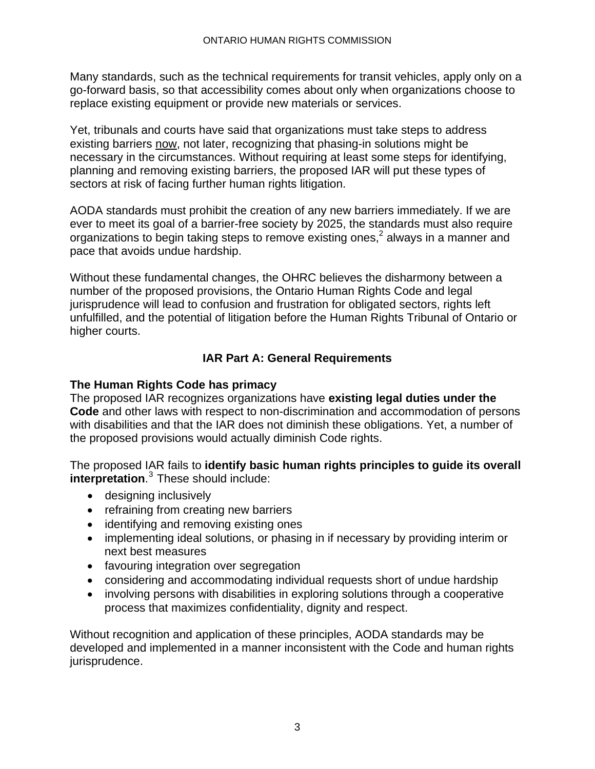Many standards, such as the technical requirements for transit vehicles, apply only on a go-forward basis, so that accessibility comes about only when organizations choose to replace existing equipment or provide new materials or services.

Yet, tribunals and courts have said that organizations must take steps to address existing barriers now, not later, recognizing that phasing-in solutions might be necessary in the circumstances. Without requiring at least some steps for identifying, planning and removing existing barriers, the proposed IAR will put these types of sectors at risk of facing further human rights litigation.

AODA standards must prohibit the creation of any new barriers immediately. If we are ever to meet its goal of a barrier-free society by 2025, the standards must also require organizations to begin taking steps to remove existing ones, $^2$  always in a manner and pace that avoids undue hardship.

Without these fundamental changes, the OHRC believes the disharmony between a number of the proposed provisions, the Ontario Human Rights Code and legal jurisprudence will lead to confusion and frustration for obligated sectors, rights left unfulfilled, and the potential of litigation before the Human Rights Tribunal of Ontario or higher courts.

## **IAR Part A: General Requirements**

## **The Human Rights Code has primacy**

The proposed IAR recognizes organizations have **existing legal duties under the Code** and other laws with respect to non-discrimination and accommodation of persons with disabilities and that the IAR does not diminish these obligations. Yet, a number of the proposed provisions would actually diminish Code rights.

The proposed IAR fails to **identify basic human rights principles to guide its overall interpretation.**<sup>3</sup> These should include:

- designing inclusively
- refraining from creating new barriers
- identifying and removing existing ones
- implementing ideal solutions, or phasing in if necessary by providing interim or next best measures
- favouring integration over segregation
- considering and accommodating individual requests short of undue hardship
- involving persons with disabilities in exploring solutions through a cooperative process that maximizes confidentiality, dignity and respect.

Without recognition and application of these principles, AODA standards may be developed and implemented in a manner inconsistent with the Code and human rights jurisprudence.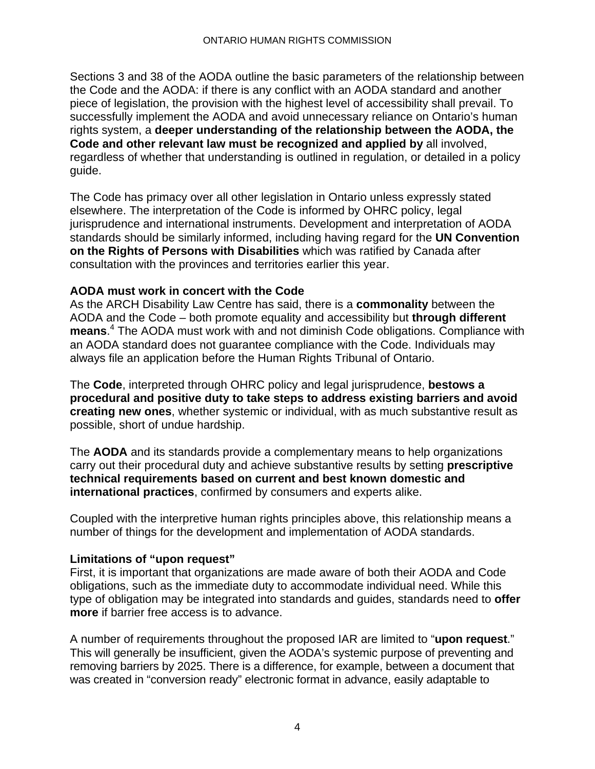Sections 3 and 38 of the AODA outline the basic parameters of the relationship between the Code and the AODA: if there is any conflict with an AODA standard and another piece of legislation, the provision with the highest level of accessibility shall prevail. To successfully implement the AODA and avoid unnecessary reliance on Ontario's human rights system, a **deeper understanding of the relationship between the AODA, the Code and other relevant law must be recognized and applied by** all involved, regardless of whether that understanding is outlined in regulation, or detailed in a policy guide.

The Code has primacy over all other legislation in Ontario unless expressly stated elsewhere. The interpretation of the Code is informed by OHRC policy, legal jurisprudence and international instruments. Development and interpretation of AODA standards should be similarly informed, including having regard for the **UN Convention on the Rights of Persons with Disabilities** which was ratified by Canada after consultation with the provinces and territories earlier this year.

## **AODA must work in concert with the Code**

As the ARCH Disability Law Centre has said, there is a **commonality** between the AODA and the Code – both promote equality and accessibility but **through different means**. 4 The AODA must work with and not diminish Code obligations. Compliance with an AODA standard does not guarantee compliance with the Code. Individuals may always file an application before the Human Rights Tribunal of Ontario.

The **Code**, interpreted through OHRC policy and legal jurisprudence, **bestows a procedural and positive duty to take steps to address existing barriers and avoid creating new ones**, whether systemic or individual, with as much substantive result as possible, short of undue hardship.

The **AODA** and its standards provide a complementary means to help organizations carry out their procedural duty and achieve substantive results by setting **prescriptive technical requirements based on current and best known domestic and international practices**, confirmed by consumers and experts alike.

Coupled with the interpretive human rights principles above, this relationship means a number of things for the development and implementation of AODA standards.

## **Limitations of "upon request"**

First, it is important that organizations are made aware of both their AODA and Code obligations, such as the immediate duty to accommodate individual need. While this type of obligation may be integrated into standards and guides, standards need to **offer more** if barrier free access is to advance.

A number of requirements throughout the proposed IAR are limited to "**upon request**." This will generally be insufficient, given the AODA's systemic purpose of preventing and removing barriers by 2025. There is a difference, for example, between a document that was created in "conversion ready" electronic format in advance, easily adaptable to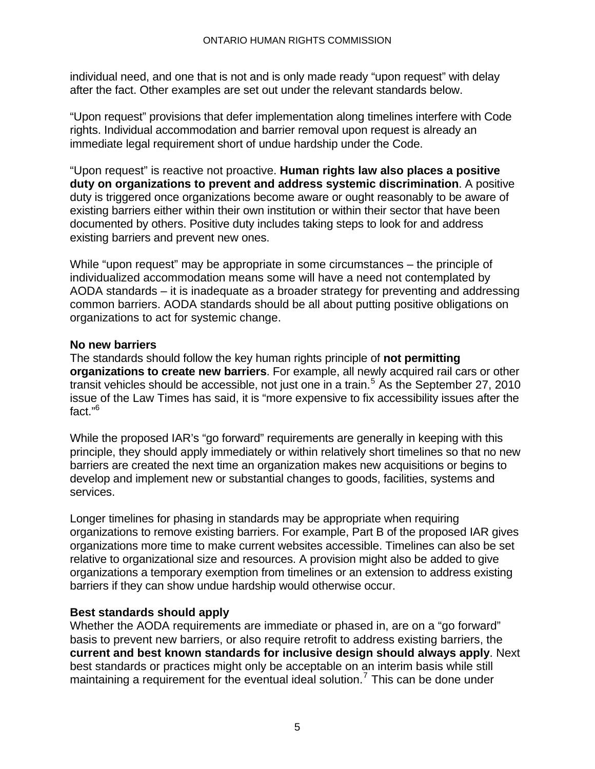individual need, and one that is not and is only made ready "upon request" with delay after the fact. Other examples are set out under the relevant standards below.

"Upon request" provisions that defer implementation along timelines interfere with Code rights. Individual accommodation and barrier removal upon request is already an immediate legal requirement short of undue hardship under the Code.

"Upon request" is reactive not proactive. **Human rights law also places a positive duty on organizations to prevent and address systemic discrimination**. A positive duty is triggered once organizations become aware or ought reasonably to be aware of existing barriers either within their own institution or within their sector that have been documented by others. Positive duty includes taking steps to look for and address existing barriers and prevent new ones.

While "upon request" may be appropriate in some circumstances – the principle of individualized accommodation means some will have a need not contemplated by AODA standards – it is inadequate as a broader strategy for preventing and addressing common barriers. AODA standards should be all about putting positive obligations on organizations to act for systemic change.

#### **No new barriers**

The standards should follow the key human rights principle of **not permitting organizations to create new barriers**. For example, all newly acquired rail cars or other transit vehicles should be accessible, not just one in a train.<sup>5</sup> As the September 27, 2010 issue of the Law Times has said, it is "more expensive to fix accessibility issues after the fact."6

While the proposed IAR's "go forward" requirements are generally in keeping with this principle, they should apply immediately or within relatively short timelines so that no new barriers are created the next time an organization makes new acquisitions or begins to develop and implement new or substantial changes to goods, facilities, systems and services.

Longer timelines for phasing in standards may be appropriate when requiring organizations to remove existing barriers. For example, Part B of the proposed IAR gives organizations more time to make current websites accessible. Timelines can also be set relative to organizational size and resources. A provision might also be added to give organizations a temporary exemption from timelines or an extension to address existing barriers if they can show undue hardship would otherwise occur.

## **Best standards should apply**

Whether the AODA requirements are immediate or phased in, are on a "go forward" basis to prevent new barriers, or also require retrofit to address existing barriers, the **current and best known standards for inclusive design should always apply**. Next best standards or practices might only be acceptable on an interim basis while still maintaining a requirement for the eventual ideal solution.<sup>7</sup> This can be done under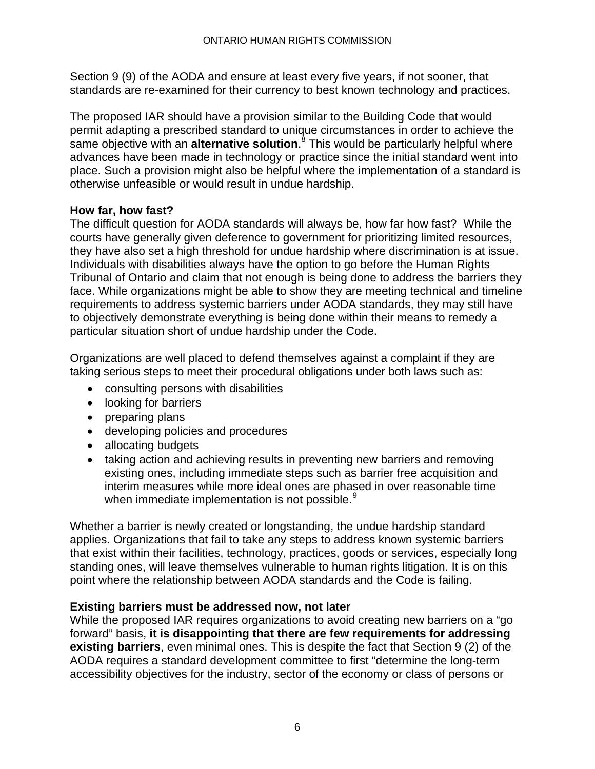Section 9 (9) of the AODA and ensure at least every five years, if not sooner, that standards are re-examined for their currency to best known technology and practices.

The proposed IAR should have a provision similar to the Building Code that would permit adapting a prescribed standard to unique circumstances in order to achieve the .<br>same objective with an **alternative solution**.<sup>8</sup> This would be particularly helpful where advances have been made in technology or practice since the initial standard went into place. Such a provision might also be helpful where the implementation of a standard is otherwise unfeasible or would result in undue hardship.

## **How far, how fast?**

The difficult question for AODA standards will always be, how far how fast? While the courts have generally given deference to government for prioritizing limited resources, they have also set a high threshold for undue hardship where discrimination is at issue. Individuals with disabilities always have the option to go before the Human Rights Tribunal of Ontario and claim that not enough is being done to address the barriers they face. While organizations might be able to show they are meeting technical and timeline requirements to address systemic barriers under AODA standards, they may still have to objectively demonstrate everything is being done within their means to remedy a particular situation short of undue hardship under the Code.

Organizations are well placed to defend themselves against a complaint if they are taking serious steps to meet their procedural obligations under both laws such as:

- consulting persons with disabilities
- looking for barriers
- preparing plans
- developing policies and procedures
- allocating budgets
- taking action and achieving results in preventing new barriers and removing existing ones, including immediate steps such as barrier free acquisition and interim measures while more ideal ones are phased in over reasonable time when immediate implementation is not possible.<sup>9</sup>

Whether a barrier is newly created or longstanding, the undue hardship standard applies. Organizations that fail to take any steps to address known systemic barriers that exist within their facilities, technology, practices, goods or services, especially long standing ones, will leave themselves vulnerable to human rights litigation. It is on this point where the relationship between AODA standards and the Code is failing.

## **Existing barriers must be addressed now, not later**

While the proposed IAR requires organizations to avoid creating new barriers on a "go forward" basis, **it is disappointing that there are few requirements for addressing existing barriers**, even minimal ones. This is despite the fact that Section 9 (2) of the AODA requires a standard development committee to first "determine the long-term accessibility objectives for the industry, sector of the economy or class of persons or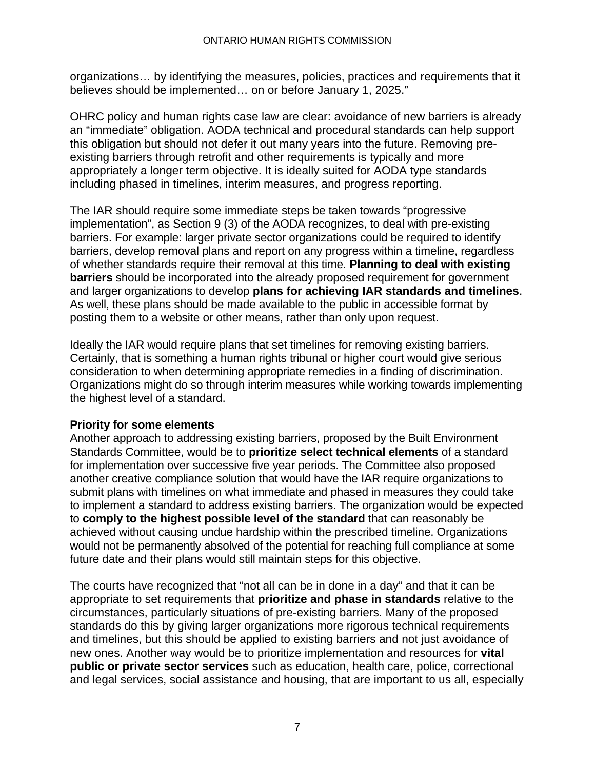organizations… by identifying the measures, policies, practices and requirements that it believes should be implemented… on or before January 1, 2025."

OHRC policy and human rights case law are clear: avoidance of new barriers is already an "immediate" obligation. AODA technical and procedural standards can help support this obligation but should not defer it out many years into the future. Removing preexisting barriers through retrofit and other requirements is typically and more appropriately a longer term objective. It is ideally suited for AODA type standards including phased in timelines, interim measures, and progress reporting.

The IAR should require some immediate steps be taken towards "progressive implementation", as Section 9 (3) of the AODA recognizes, to deal with pre-existing barriers. For example: larger private sector organizations could be required to identify barriers, develop removal plans and report on any progress within a timeline, regardless of whether standards require their removal at this time. **Planning to deal with existing barriers** should be incorporated into the already proposed requirement for government and larger organizations to develop **plans for achieving IAR standards and timelines**. As well, these plans should be made available to the public in accessible format by posting them to a website or other means, rather than only upon request.

Ideally the IAR would require plans that set timelines for removing existing barriers. Certainly, that is something a human rights tribunal or higher court would give serious consideration to when determining appropriate remedies in a finding of discrimination. Organizations might do so through interim measures while working towards implementing the highest level of a standard.

## **Priority for some elements**

Another approach to addressing existing barriers, proposed by the Built Environment Standards Committee, would be to **prioritize select technical elements** of a standard for implementation over successive five year periods. The Committee also proposed another creative compliance solution that would have the IAR require organizations to submit plans with timelines on what immediate and phased in measures they could take to implement a standard to address existing barriers. The organization would be expected to **comply to the highest possible level of the standard** that can reasonably be achieved without causing undue hardship within the prescribed timeline. Organizations would not be permanently absolved of the potential for reaching full compliance at some future date and their plans would still maintain steps for this objective.

The courts have recognized that "not all can be in done in a day" and that it can be appropriate to set requirements that **prioritize and phase in standards** relative to the circumstances, particularly situations of pre-existing barriers. Many of the proposed standards do this by giving larger organizations more rigorous technical requirements and timelines, but this should be applied to existing barriers and not just avoidance of new ones. Another way would be to prioritize implementation and resources for **vital public or private sector services** such as education, health care, police, correctional and legal services, social assistance and housing, that are important to us all, especially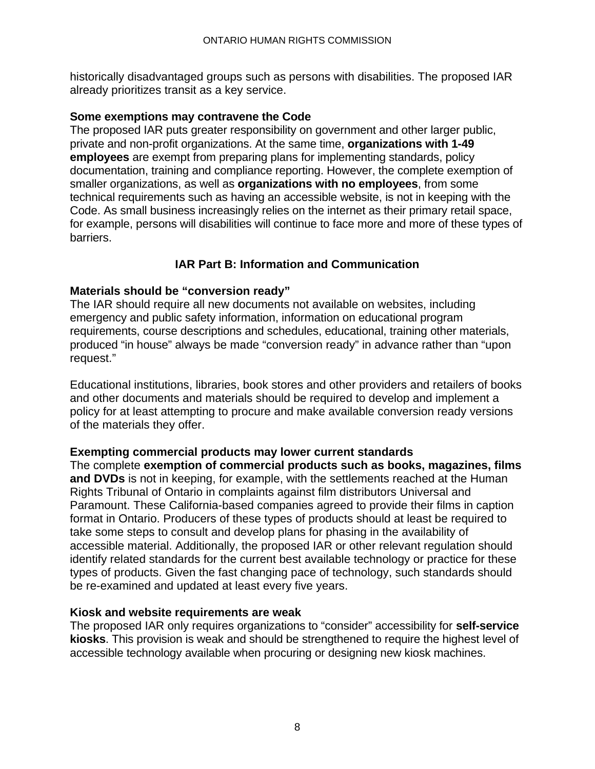historically disadvantaged groups such as persons with disabilities. The proposed IAR already prioritizes transit as a key service.

#### **Some exemptions may contravene the Code**

The proposed IAR puts greater responsibility on government and other larger public, private and non-profit organizations. At the same time, **organizations with 1-49 employees** are exempt from preparing plans for implementing standards, policy documentation, training and compliance reporting. However, the complete exemption of smaller organizations, as well as **organizations with no employees**, from some technical requirements such as having an accessible website, is not in keeping with the Code. As small business increasingly relies on the internet as their primary retail space, for example, persons will disabilities will continue to face more and more of these types of barriers.

## **IAR Part B: Information and Communication**

#### **Materials should be "conversion ready"**

The IAR should require all new documents not available on websites, including emergency and public safety information, information on educational program requirements, course descriptions and schedules, educational, training other materials, produced "in house" always be made "conversion ready" in advance rather than "upon request."

Educational institutions, libraries, book stores and other providers and retailers of books and other documents and materials should be required to develop and implement a policy for at least attempting to procure and make available conversion ready versions of the materials they offer.

#### **Exempting commercial products may lower current standards**

The complete **exemption of commercial products such as books, magazines, films and DVDs** is not in keeping, for example, with the settlements reached at the Human Rights Tribunal of Ontario in complaints against film distributors Universal and Paramount. These California-based companies agreed to provide their films in caption format in Ontario. Producers of these types of products should at least be required to take some steps to consult and develop plans for phasing in the availability of accessible material. Additionally, the proposed IAR or other relevant regulation should identify related standards for the current best available technology or practice for these types of products. Given the fast changing pace of technology, such standards should be re-examined and updated at least every five years.

#### **Kiosk and website requirements are weak**

The proposed IAR only requires organizations to "consider" accessibility for **self-service kiosks**. This provision is weak and should be strengthened to require the highest level of accessible technology available when procuring or designing new kiosk machines.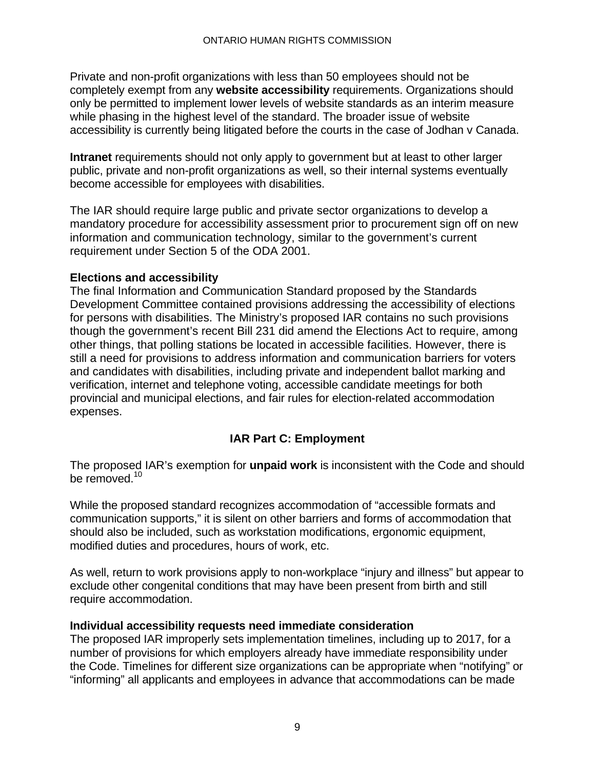Private and non-profit organizations with less than 50 employees should not be completely exempt from any **website accessibility** requirements. Organizations should only be permitted to implement lower levels of website standards as an interim measure while phasing in the highest level of the standard. The broader issue of website accessibility is currently being litigated before the courts in the case of Jodhan v Canada.

**Intranet** requirements should not only apply to government but at least to other larger public, private and non-profit organizations as well, so their internal systems eventually become accessible for employees with disabilities.

The IAR should require large public and private sector organizations to develop a mandatory procedure for accessibility assessment prior to procurement sign off on new information and communication technology, similar to the government's current requirement under Section 5 of the ODA 2001.

## **Elections and accessibility**

The final Information and Communication Standard proposed by the Standards Development Committee contained provisions addressing the accessibility of elections for persons with disabilities. The Ministry's proposed IAR contains no such provisions though the government's recent Bill 231 did amend the Elections Act to require, among other things, that polling stations be located in accessible facilities. However, there is still a need for provisions to address information and communication barriers for voters and candidates with disabilities, including private and independent ballot marking and verification, internet and telephone voting, accessible candidate meetings for both provincial and municipal elections, and fair rules for election-related accommodation expenses.

## **IAR Part C: Employment**

The proposed IAR's exemption for **unpaid work** is inconsistent with the Code and should be removed.<sup>10</sup>

While the proposed standard recognizes accommodation of "accessible formats and communication supports," it is silent on other barriers and forms of accommodation that should also be included, such as workstation modifications, ergonomic equipment, modified duties and procedures, hours of work, etc.

As well, return to work provisions apply to non-workplace "injury and illness" but appear to exclude other congenital conditions that may have been present from birth and still require accommodation.

## **Individual accessibility requests need immediate consideration**

The proposed IAR improperly sets implementation timelines, including up to 2017, for a number of provisions for which employers already have immediate responsibility under the Code. Timelines for different size organizations can be appropriate when "notifying" or "informing" all applicants and employees in advance that accommodations can be made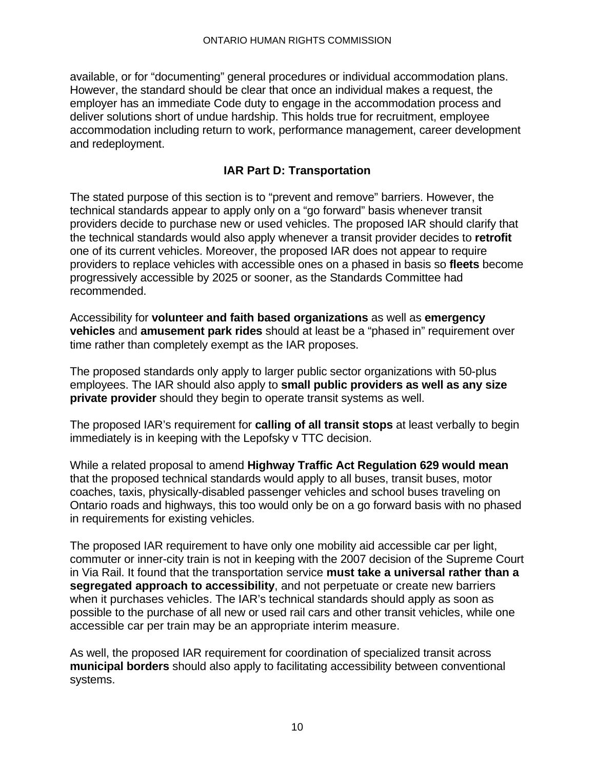available, or for "documenting" general procedures or individual accommodation plans. However, the standard should be clear that once an individual makes a request, the employer has an immediate Code duty to engage in the accommodation process and deliver solutions short of undue hardship. This holds true for recruitment, employee accommodation including return to work, performance management, career development and redeployment.

## **IAR Part D: Transportation**

The stated purpose of this section is to "prevent and remove" barriers. However, the technical standards appear to apply only on a "go forward" basis whenever transit providers decide to purchase new or used vehicles. The proposed IAR should clarify that the technical standards would also apply whenever a transit provider decides to **retrofit** one of its current vehicles. Moreover, the proposed IAR does not appear to require providers to replace vehicles with accessible ones on a phased in basis so **fleets** become progressively accessible by 2025 or sooner, as the Standards Committee had recommended.

Accessibility for **volunteer and faith based organizations** as well as **emergency vehicles** and **amusement park rides** should at least be a "phased in" requirement over time rather than completely exempt as the IAR proposes.

The proposed standards only apply to larger public sector organizations with 50-plus employees. The IAR should also apply to **small public providers as well as any size private provider** should they begin to operate transit systems as well.

The proposed IAR's requirement for **calling of all transit stops** at least verbally to begin immediately is in keeping with the Lepofsky v TTC decision.

While a related proposal to amend **Highway Traffic Act Regulation 629 would mean**  that the proposed technical standards would apply to all buses, transit buses, motor coaches, taxis, physically-disabled passenger vehicles and school buses traveling on Ontario roads and highways, this too would only be on a go forward basis with no phased in requirements for existing vehicles.

The proposed IAR requirement to have only one mobility aid accessible car per light, commuter or inner-city train is not in keeping with the 2007 decision of the Supreme Court in Via Rail. It found that the transportation service **must take a universal rather than a segregated approach to accessibility**, and not perpetuate or create new barriers when it purchases vehicles. The IAR's technical standards should apply as soon as possible to the purchase of all new or used rail cars and other transit vehicles, while one accessible car per train may be an appropriate interim measure.

As well, the proposed IAR requirement for coordination of specialized transit across **municipal borders** should also apply to facilitating accessibility between conventional systems.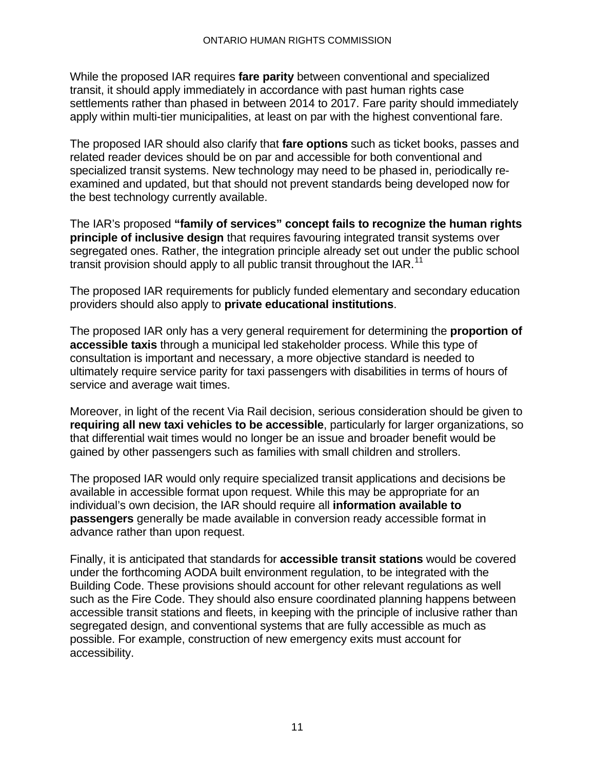While the proposed IAR requires **fare parity** between conventional and specialized transit, it should apply immediately in accordance with past human rights case settlements rather than phased in between 2014 to 2017. Fare parity should immediately apply within multi-tier municipalities, at least on par with the highest conventional fare.

The proposed IAR should also clarify that **fare options** such as ticket books, passes and related reader devices should be on par and accessible for both conventional and specialized transit systems. New technology may need to be phased in, periodically reexamined and updated, but that should not prevent standards being developed now for the best technology currently available.

The IAR's proposed **"family of services" concept fails to recognize the human rights principle of inclusive design** that requires favouring integrated transit systems over segregated ones. Rather, the integration principle already set out under the public school transit provision should apply to all public transit throughout the  $IAR$ .<sup>11</sup>

The proposed IAR requirements for publicly funded elementary and secondary education providers should also apply to **private educational institutions**.

The proposed IAR only has a very general requirement for determining the **proportion of accessible taxis** through a municipal led stakeholder process. While this type of consultation is important and necessary, a more objective standard is needed to ultimately require service parity for taxi passengers with disabilities in terms of hours of service and average wait times.

Moreover, in light of the recent Via Rail decision, serious consideration should be given to **requiring all new taxi vehicles to be accessible**, particularly for larger organizations, so that differential wait times would no longer be an issue and broader benefit would be gained by other passengers such as families with small children and strollers.

The proposed IAR would only require specialized transit applications and decisions be available in accessible format upon request. While this may be appropriate for an individual's own decision, the IAR should require all **information available to passengers** generally be made available in conversion ready accessible format in advance rather than upon request.

Finally, it is anticipated that standards for **accessible transit stations** would be covered under the forthcoming AODA built environment regulation, to be integrated with the Building Code. These provisions should account for other relevant regulations as well such as the Fire Code. They should also ensure coordinated planning happens between accessible transit stations and fleets, in keeping with the principle of inclusive rather than segregated design, and conventional systems that are fully accessible as much as possible. For example, construction of new emergency exits must account for accessibility.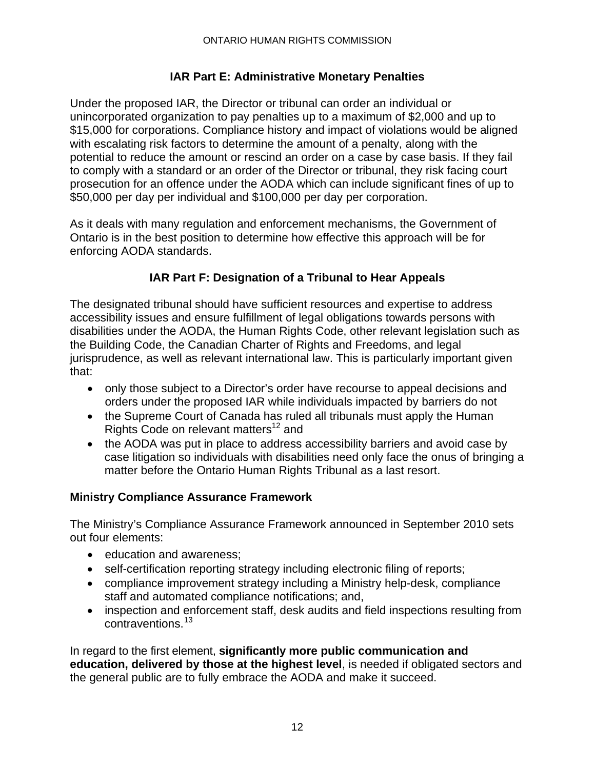## **IAR Part E: Administrative Monetary Penalties**

Under the proposed IAR, the Director or tribunal can order an individual or unincorporated organization to pay penalties up to a maximum of \$2,000 and up to \$15,000 for corporations. Compliance history and impact of violations would be aligned with escalating risk factors to determine the amount of a penalty, along with the potential to reduce the amount or rescind an order on a case by case basis. If they fail to comply with a standard or an order of the Director or tribunal, they risk facing court prosecution for an offence under the AODA which can include significant fines of up to \$50,000 per day per individual and \$100,000 per day per corporation.

As it deals with many regulation and enforcement mechanisms, the Government of Ontario is in the best position to determine how effective this approach will be for enforcing AODA standards.

## **IAR Part F: Designation of a Tribunal to Hear Appeals**

The designated tribunal should have sufficient resources and expertise to address accessibility issues and ensure fulfillment of legal obligations towards persons with disabilities under the AODA, the Human Rights Code, other relevant legislation such as the Building Code, the Canadian Charter of Rights and Freedoms, and legal jurisprudence, as well as relevant international law. This is particularly important given that:

- only those subject to a Director's order have recourse to appeal decisions and orders under the proposed IAR while individuals impacted by barriers do not
- the Supreme Court of Canada has ruled all tribunals must apply the Human Rights Code on relevant matters<sup>12</sup> and
- the AODA was put in place to address accessibility barriers and avoid case by case litigation so individuals with disabilities need only face the onus of bringing a matter before the Ontario Human Rights Tribunal as a last resort.

## **Ministry Compliance Assurance Framework**

The Ministry's Compliance Assurance Framework announced in September 2010 sets out four elements:

- education and awareness;
- self-certification reporting strategy including electronic filing of reports;
- compliance improvement strategy including a Ministry help-desk, compliance staff and automated compliance notifications; and,
- inspection and enforcement staff, desk audits and field inspections resulting from contraventions.<sup>13</sup>

In regard to the first element, **significantly more public communication and education, delivered by those at the highest level**, is needed if obligated sectors and the general public are to fully embrace the AODA and make it succeed.